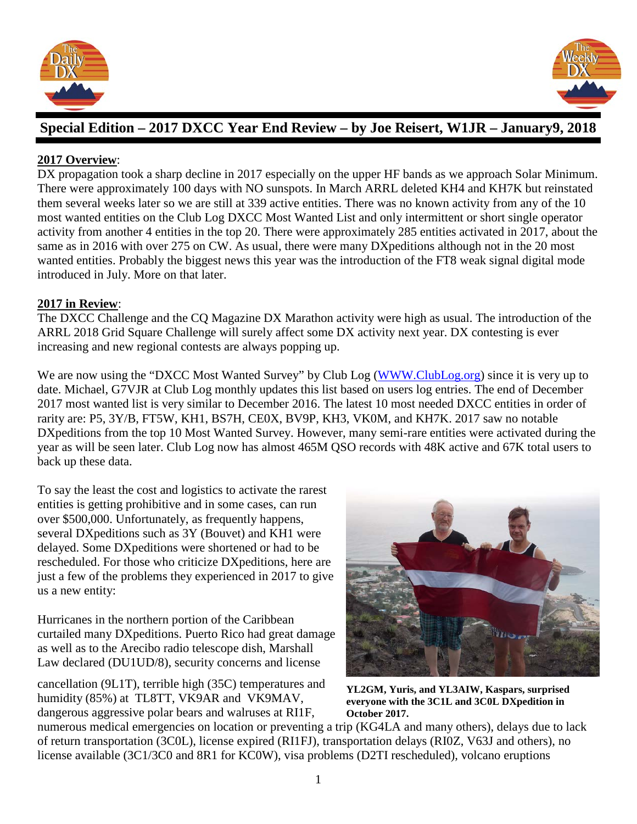



# **Special Edition – 2017 DXCC Year End Review – by Joe Reisert, W1JR – January9, 2018**

### **2017 Overview**:

DX propagation took a sharp decline in 2017 especially on the upper HF bands as we approach Solar Minimum. There were approximately 100 days with NO sunspots. In March ARRL deleted KH4 and KH7K but reinstated them several weeks later so we are still at 339 active entities. There was no known activity from any of the 10 most wanted entities on the Club Log DXCC Most Wanted List and only intermittent or short single operator activity from another 4 entities in the top 20. There were approximately 285 entities activated in 2017, about the same as in 2016 with over 275 on CW. As usual, there were many DXpeditions although not in the 20 most wanted entities. Probably the biggest news this year was the introduction of the FT8 weak signal digital mode introduced in July. More on that later.

#### **2017 in Review**:

The DXCC Challenge and the CQ Magazine DX Marathon activity were high as usual. The introduction of the ARRL 2018 Grid Square Challenge will surely affect some DX activity next year. DX contesting is ever increasing and new regional contests are always popping up.

We are now using the "DXCC Most Wanted Survey" by Club Log [\(WWW.ClubLog.org\)](http://www.clublog.org/) since it is very up to date. Michael, G7VJR at Club Log monthly updates this list based on users log entries. The end of December 2017 most wanted list is very similar to December 2016. The latest 10 most needed DXCC entities in order of rarity are: P5, 3Y/B, FT5W, KH1, BS7H, CE0X, BV9P, KH3, VK0M, and KH7K. 2017 saw no notable DXpeditions from the top 10 Most Wanted Survey. However, many semi-rare entities were activated during the year as will be seen later. Club Log now has almost 465M QSO records with 48K active and 67K total users to back up these data.

To say the least the cost and logistics to activate the rarest entities is getting prohibitive and in some cases, can run over \$500,000. Unfortunately, as frequently happens, several DXpeditions such as 3Y (Bouvet) and KH1 were delayed. Some DXpeditions were shortened or had to be rescheduled. For those who criticize DXpeditions, here are just a few of the problems they experienced in 2017 to give us a new entity:

Hurricanes in the northern portion of the Caribbean curtailed many DXpeditions. Puerto Rico had great damage as well as to the Arecibo radio telescope dish, Marshall Law declared (DU1UD/8), security concerns and license

cancellation (9L1T), terrible high (35C) temperatures and humidity (85%) at TL8TT, VK9AR and VK9MAV, dangerous aggressive polar bears and walruses at RI1F,



**YL2GM, Yuris, and YL3AIW, Kaspars, surprised everyone with the 3C1L and 3C0L DXpedition in October 2017.**

numerous medical emergencies on location or preventing a trip (KG4LA and many others), delays due to lack of return transportation (3C0L), license expired (RI1FJ), transportation delays (RI0Z, V63J and others), no license available (3C1/3C0 and 8R1 for KC0W), visa problems (D2TI rescheduled), volcano eruptions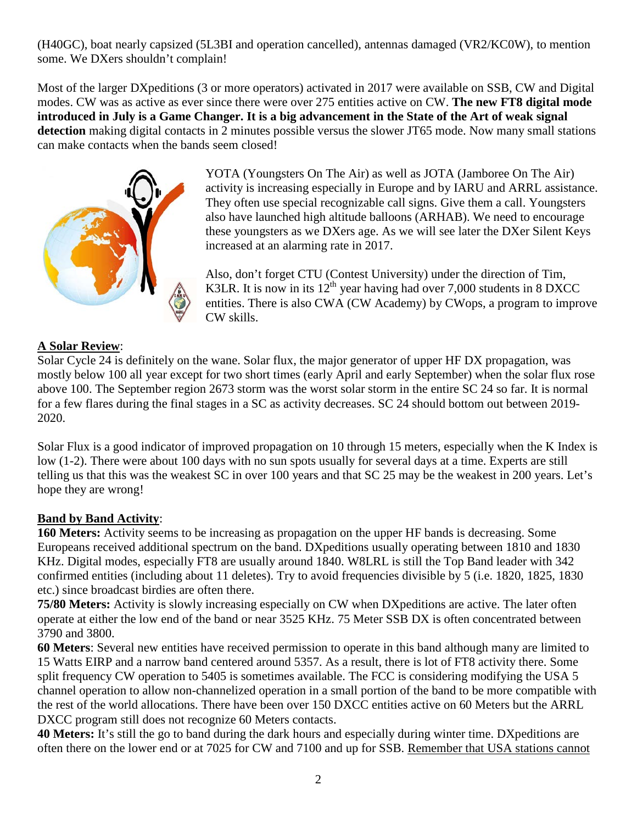(H40GC), boat nearly capsized (5L3BI and operation cancelled), antennas damaged (VR2/KC0W), to mention some. We DXers shouldn't complain!

Most of the larger DXpeditions (3 or more operators) activated in 2017 were available on SSB, CW and Digital modes. CW was as active as ever since there were over 275 entities active on CW. **The new FT8 digital mode introduced in July is a Game Changer. It is a big advancement in the State of the Art of weak signal detection** making digital contacts in 2 minutes possible versus the slower JT65 mode. Now many small stations can make contacts when the bands seem closed!



YOTA (Youngsters On The Air) as well as JOTA (Jamboree On The Air) activity is increasing especially in Europe and by IARU and ARRL assistance. They often use special recognizable call signs. Give them a call. Youngsters also have launched high altitude balloons (ARHAB). We need to encourage these youngsters as we DXers age. As we will see later the DXer Silent Keys increased at an alarming rate in 2017.

Also, don't forget CTU (Contest University) under the direction of Tim, K3LR. It is now in its  $12<sup>th</sup>$  year having had over 7,000 students in 8 DXCC entities. There is also CWA (CW Academy) by CWops, a program to improve CW skills.

### **A Solar Review**:

Solar Cycle 24 is definitely on the wane. Solar flux, the major generator of upper HF DX propagation, was mostly below 100 all year except for two short times (early April and early September) when the solar flux rose above 100. The September region 2673 storm was the worst solar storm in the entire SC 24 so far. It is normal for a few flares during the final stages in a SC as activity decreases. SC 24 should bottom out between 2019- 2020.

Solar Flux is a good indicator of improved propagation on 10 through 15 meters, especially when the K Index is low (1-2). There were about 100 days with no sun spots usually for several days at a time. Experts are still telling us that this was the weakest SC in over 100 years and that SC 25 may be the weakest in 200 years. Let's hope they are wrong!

#### **Band by Band Activity**:

**160 Meters:** Activity seems to be increasing as propagation on the upper HF bands is decreasing. Some Europeans received additional spectrum on the band. DXpeditions usually operating between 1810 and 1830 KHz. Digital modes, especially FT8 are usually around 1840. W8LRL is still the Top Band leader with 342 confirmed entities (including about 11 deletes). Try to avoid frequencies divisible by 5 (i.e. 1820, 1825, 1830 etc.) since broadcast birdies are often there.

**75/80 Meters:** Activity is slowly increasing especially on CW when DXpeditions are active. The later often operate at either the low end of the band or near 3525 KHz. 75 Meter SSB DX is often concentrated between 3790 and 3800.

**60 Meters**: Several new entities have received permission to operate in this band although many are limited to 15 Watts EIRP and a narrow band centered around 5357. As a result, there is lot of FT8 activity there. Some split frequency CW operation to 5405 is sometimes available. The FCC is considering modifying the USA 5 channel operation to allow non-channelized operation in a small portion of the band to be more compatible with the rest of the world allocations. There have been over 150 DXCC entities active on 60 Meters but the ARRL DXCC program still does not recognize 60 Meters contacts.

**40 Meters:** It's still the go to band during the dark hours and especially during winter time. DXpeditions are often there on the lower end or at 7025 for CW and 7100 and up for SSB. Remember that USA stations cannot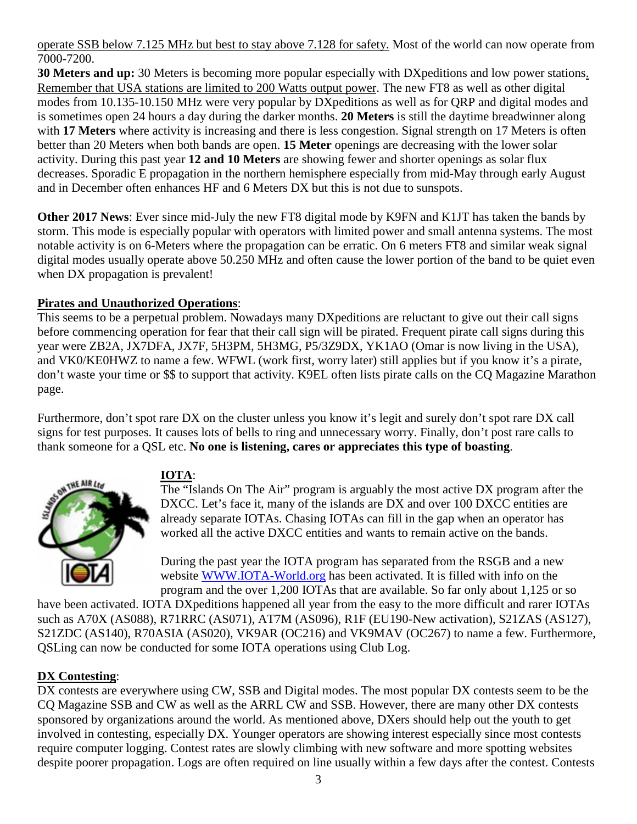operate SSB below 7.125 MHz but best to stay above 7.128 for safety. Most of the world can now operate from 7000-7200.

**30 Meters and up:** 30 Meters is becoming more popular especially with DXpeditions and low power stations. Remember that USA stations are limited to 200 Watts output power. The new FT8 as well as other digital modes from 10.135-10.150 MHz were very popular by DXpeditions as well as for QRP and digital modes and is sometimes open 24 hours a day during the darker months. **20 Meters** is still the daytime breadwinner along with **17 Meters** where activity is increasing and there is less congestion. Signal strength on 17 Meters is often better than 20 Meters when both bands are open. **15 Meter** openings are decreasing with the lower solar activity. During this past year **12 and 10 Meters** are showing fewer and shorter openings as solar flux decreases. Sporadic E propagation in the northern hemisphere especially from mid-May through early August and in December often enhances HF and 6 Meters DX but this is not due to sunspots.

**Other 2017 News**: Ever since mid-July the new FT8 digital mode by K9FN and K1JT has taken the bands by storm. This mode is especially popular with operators with limited power and small antenna systems. The most notable activity is on 6-Meters where the propagation can be erratic. On 6 meters FT8 and similar weak signal digital modes usually operate above 50.250 MHz and often cause the lower portion of the band to be quiet even when DX propagation is prevalent!

### **Pirates and Unauthorized Operations**:

This seems to be a perpetual problem. Nowadays many DXpeditions are reluctant to give out their call signs before commencing operation for fear that their call sign will be pirated. Frequent pirate call signs during this year were ZB2A, JX7DFA, JX7F, 5H3PM, 5H3MG, P5/3Z9DX, YK1AO (Omar is now living in the USA), and VK0/KE0HWZ to name a few. WFWL (work first, worry later) still applies but if you know it's a pirate, don't waste your time or \$\$ to support that activity. K9EL often lists pirate calls on the CQ Magazine Marathon page.

Furthermore, don't spot rare DX on the cluster unless you know it's legit and surely don't spot rare DX call signs for test purposes. It causes lots of bells to ring and unnecessary worry. Finally, don't post rare calls to thank someone for a QSL etc. **No one is listening, cares or appreciates this type of boasting**.



### **IOTA**:

The "Islands On The Air" program is arguably the most active DX program after the DXCC. Let's face it, many of the islands are DX and over 100 DXCC entities are already separate IOTAs. Chasing IOTAs can fill in the gap when an operator has worked all the active DXCC entities and wants to remain active on the bands.

During the past year the IOTA program has separated from the RSGB and a new website [WWW.IOTA-World.org](http://www.iota-world.org/) has been activated. It is filled with info on the program and the over 1,200 IOTAs that are available. So far only about 1,125 or so

have been activated. IOTA DXpeditions happened all year from the easy to the more difficult and rarer IOTAs such as A70X (AS088), R71RRC (AS071), AT7M (AS096), R1F (EU190-New activation), S21ZAS (AS127), S21ZDC (AS140), R70ASIA (AS020), VK9AR (OC216) and VK9MAV (OC267) to name a few. Furthermore, QSLing can now be conducted for some IOTA operations using Club Log.

#### **DX Contesting**:

DX contests are everywhere using CW, SSB and Digital modes. The most popular DX contests seem to be the CQ Magazine SSB and CW as well as the ARRL CW and SSB. However, there are many other DX contests sponsored by organizations around the world. As mentioned above, DXers should help out the youth to get involved in contesting, especially DX. Younger operators are showing interest especially since most contests require computer logging. Contest rates are slowly climbing with new software and more spotting websites despite poorer propagation. Logs are often required on line usually within a few days after the contest. Contests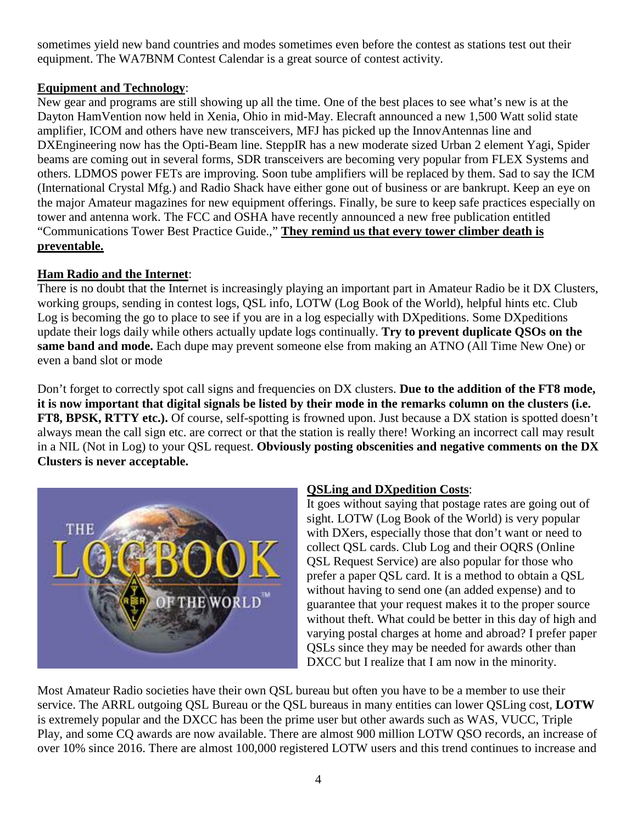sometimes yield new band countries and modes sometimes even before the contest as stations test out their equipment. The WA7BNM Contest Calendar is a great source of contest activity.

### **Equipment and Technology**:

New gear and programs are still showing up all the time. One of the best places to see what's new is at the Dayton HamVention now held in Xenia, Ohio in mid-May. Elecraft announced a new 1,500 Watt solid state amplifier, ICOM and others have new transceivers, MFJ has picked up the InnovAntennas line and DXEngineering now has the Opti-Beam line. SteppIR has a new moderate sized Urban 2 element Yagi, Spider beams are coming out in several forms, SDR transceivers are becoming very popular from FLEX Systems and others. LDMOS power FETs are improving. Soon tube amplifiers will be replaced by them. Sad to say the ICM (International Crystal Mfg.) and Radio Shack have either gone out of business or are bankrupt. Keep an eye on the major Amateur magazines for new equipment offerings. Finally, be sure to keep safe practices especially on tower and antenna work. The FCC and OSHA have recently announced a new free publication entitled "Communications Tower Best Practice Guide.," **They remind us that every tower climber death is preventable.** 

## **Ham Radio and the Internet**:

There is no doubt that the Internet is increasingly playing an important part in Amateur Radio be it DX Clusters, working groups, sending in contest logs, QSL info, LOTW (Log Book of the World), helpful hints etc. Club Log is becoming the go to place to see if you are in a log especially with DXpeditions. Some DXpeditions update their logs daily while others actually update logs continually. **Try to prevent duplicate QSOs on the same band and mode.** Each dupe may prevent someone else from making an ATNO (All Time New One) or even a band slot or mode

Don't forget to correctly spot call signs and frequencies on DX clusters. **Due to the addition of the FT8 mode, it is now important that digital signals be listed by their mode in the remarks column on the clusters (i.e. FT8, BPSK, RTTY etc.).** Of course, self-spotting is frowned upon. Just because a DX station is spotted doesn't always mean the call sign etc. are correct or that the station is really there! Working an incorrect call may result in a NIL (Not in Log) to your QSL request. **Obviously posting obscenities and negative comments on the DX Clusters is never acceptable.** 



### **QSLing and DXpedition Costs**:

It goes without saying that postage rates are going out of sight. LOTW (Log Book of the World) is very popular with DXers, especially those that don't want or need to collect QSL cards. Club Log and their OQRS (Online QSL Request Service) are also popular for those who prefer a paper QSL card. It is a method to obtain a QSL without having to send one (an added expense) and to guarantee that your request makes it to the proper source without theft. What could be better in this day of high and varying postal charges at home and abroad? I prefer paper QSLs since they may be needed for awards other than DXCC but I realize that I am now in the minority.

Most Amateur Radio societies have their own QSL bureau but often you have to be a member to use their service. The ARRL outgoing QSL Bureau or the QSL bureaus in many entities can lower QSLing cost, **LOTW** is extremely popular and the DXCC has been the prime user but other awards such as WAS, VUCC, Triple Play, and some CQ awards are now available. There are almost 900 million LOTW QSO records, an increase of over 10% since 2016. There are almost 100,000 registered LOTW users and this trend continues to increase and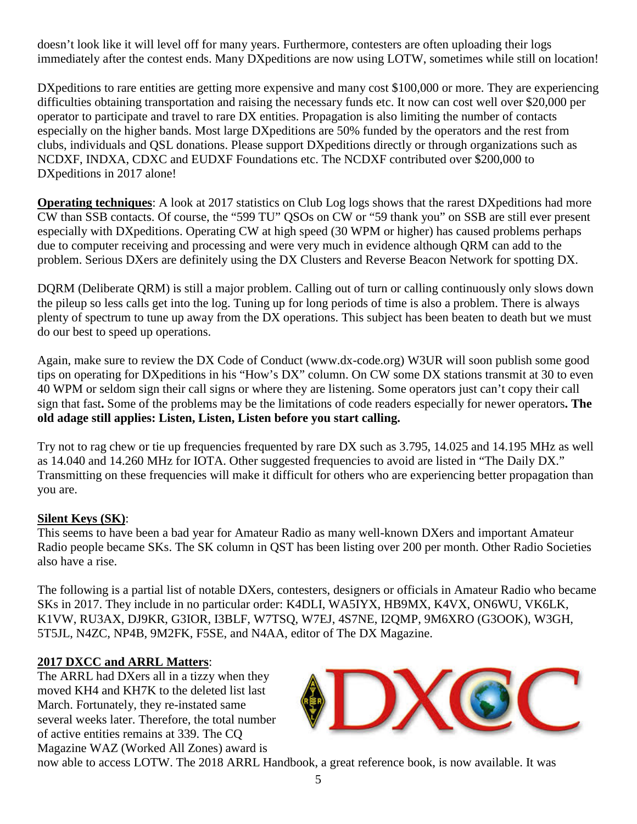doesn't look like it will level off for many years. Furthermore, contesters are often uploading their logs immediately after the contest ends. Many DXpeditions are now using LOTW, sometimes while still on location!

DX peditions to rare entities are getting more expensive and many cost \$100,000 or more. They are experiencing difficulties obtaining transportation and raising the necessary funds etc. It now can cost well over \$20,000 per operator to participate and travel to rare DX entities. Propagation is also limiting the number of contacts especially on the higher bands. Most large DXpeditions are 50% funded by the operators and the rest from clubs, individuals and QSL donations. Please support DXpeditions directly or through organizations such as NCDXF, INDXA, CDXC and EUDXF Foundations etc. The NCDXF contributed over \$200,000 to DXpeditions in 2017 alone!

**Operating techniques**: A look at 2017 statistics on Club Log logs shows that the rarest DXpeditions had more CW than SSB contacts. Of course, the "599 TU" QSOs on CW or "59 thank you" on SSB are still ever present especially with DXpeditions. Operating CW at high speed (30 WPM or higher) has caused problems perhaps due to computer receiving and processing and were very much in evidence although QRM can add to the problem. Serious DXers are definitely using the DX Clusters and Reverse Beacon Network for spotting DX.

DQRM (Deliberate QRM) is still a major problem. Calling out of turn or calling continuously only slows down the pileup so less calls get into the log. Tuning up for long periods of time is also a problem. There is always plenty of spectrum to tune up away from the DX operations. This subject has been beaten to death but we must do our best to speed up operations.

Again, make sure to review the DX Code of Conduct (www.dx-code.org) W3UR will soon publish some good tips on operating for DXpeditions in his "How's DX" column. On CW some DX stations transmit at 30 to even 40 WPM or seldom sign their call signs or where they are listening. Some operators just can't copy their call sign that fast**.** Some of the problems may be the limitations of code readers especially for newer operators**. The old adage still applies: Listen, Listen, Listen before you start calling.**

Try not to rag chew or tie up frequencies frequented by rare DX such as 3.795, 14.025 and 14.195 MHz as well as 14.040 and 14.260 MHz for IOTA. Other suggested frequencies to avoid are listed in "The Daily DX." Transmitting on these frequencies will make it difficult for others who are experiencing better propagation than you are.

#### **Silent Keys (SK)**:

This seems to have been a bad year for Amateur Radio as many well-known DXers and important Amateur Radio people became SKs. The SK column in QST has been listing over 200 per month. Other Radio Societies also have a rise.

The following is a partial list of notable DXers, contesters, designers or officials in Amateur Radio who became SKs in 2017. They include in no particular order: K4DLI, WA5IYX, HB9MX, K4VX, ON6WU, VK6LK, K1VW, RU3AX, DJ9KR, G3IOR, I3BLF, W7TSQ, W7EJ, 4S7NE, I2QMP, 9M6XRO (G3OOK), W3GH, 5T5JL, N4ZC, NP4B, 9M2FK, F5SE, and N4AA, editor of The DX Magazine.

### **2017 DXCC and ARRL Matters**:

The ARRL had DXers all in a tizzy when they moved KH4 and KH7K to the deleted list last March. Fortunately, they re-instated same several weeks later. Therefore, the total number of active entities remains at 339. The CQ Magazine WAZ (Worked All Zones) award is



now able to access LOTW. The 2018 ARRL Handbook, a great reference book, is now available. It was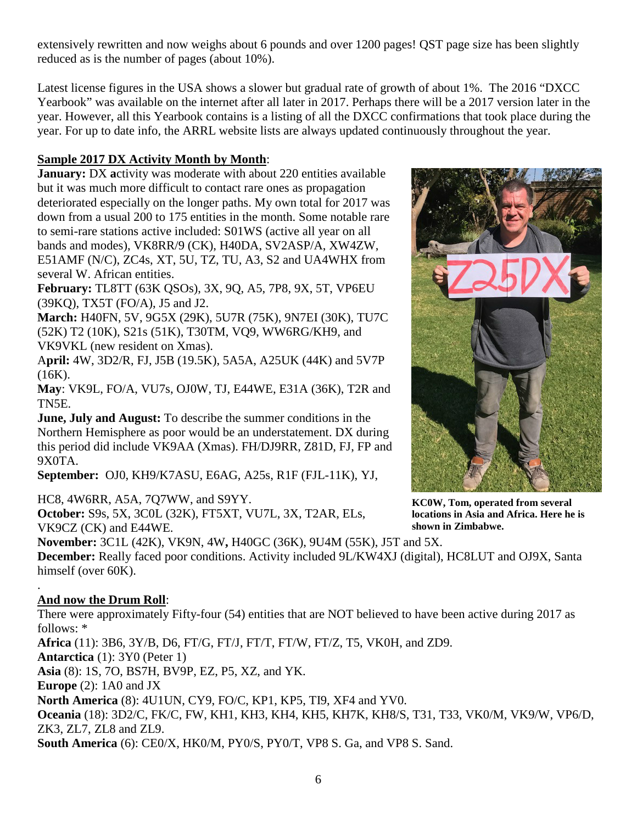extensively rewritten and now weighs about 6 pounds and over 1200 pages! QST page size has been slightly reduced as is the number of pages (about 10%).

Latest license figures in the USA shows a slower but gradual rate of growth of about 1%. The 2016 "DXCC Yearbook" was available on the internet after all later in 2017. Perhaps there will be a 2017 version later in the year. However, all this Yearbook contains is a listing of all the DXCC confirmations that took place during the year. For up to date info, the ARRL website lists are always updated continuously throughout the year.

### **Sample 2017 DX Activity Month by Month**:

**January:** DX activity was moderate with about 220 entities available but it was much more difficult to contact rare ones as propagation deteriorated especially on the longer paths. My own total for 2017 was down from a usual 200 to 175 entities in the month. Some notable rare to semi-rare stations active included: S01WS (active all year on all bands and modes), VK8RR/9 (CK), H40DA, SV2ASP/A, XW4ZW, E51AMF (N/C), ZC4s, XT, 5U, TZ, TU, A3, S2 and UA4WHX from several W. African entities.

**February:** TL8TT (63K QSOs), 3X, 9Q, A5, 7P8, 9X, 5T, VP6EU (39KQ), TX5T (FO/A), J5 and J2.

**March:** H40FN, 5V, 9G5X (29K), 5U7R (75K), 9N7EI (30K), TU7C (52K) T2 (10K), S21s (51K), T30TM, VQ9, WW6RG/KH9, and VK9VKL (new resident on Xmas).

A**pril:** 4W, 3D2/R, FJ, J5B (19.5K), 5A5A, A25UK (44K) and 5V7P (16K).

**May**: VK9L, FO/A, VU7s, OJ0W, TJ, E44WE, E31A (36K), T2R and TN5E.

**June, July and August:** To describe the summer conditions in the Northern Hemisphere as poor would be an understatement. DX during this period did include VK9AA (Xmas). FH/DJ9RR, Z81D, FJ, FP and 9X0TA.

**September:** OJ0, KH9/K7ASU, E6AG, A25s, R1F (FJL-11K), YJ,

HC8, 4W6RR, A5A, 7Q7WW, and S9YY.

**October:** S9s, 5X, 3C0L (32K), FT5XT, VU7L, 3X, T2AR, ELs, VK9CZ (CK) and E44WE.

**November:** 3C1L (42K), VK9N, 4W**,** H40GC (36K), 9U4M (55K), J5T and 5X.

**December:** Really faced poor conditions. Activity included 9L/KW4XJ (digital), HC8LUT and OJ9X, Santa himself (over 60K).

#### . **And now the Drum Roll**:

There were approximately Fifty-four (54) entities that are NOT believed to have been active during 2017 as follows: \*

**Africa** (11): 3B6, 3Y/B, D6, FT/G, FT/J, FT/T, FT/W, FT/Z, T5, VK0H, and ZD9.

**Antarctica** (1): 3Y0 (Peter 1)

**Asia** (8): 1S, 7O, BS7H, BV9P, EZ, P5, XZ, and YK.

**Europe** (2): 1A0 and JX

**North America** (8): 4U1UN, CY9, FO/C, KP1, KP5, TI9, XF4 and YV0.

**Oceania** (18): 3D2/C, FK/C, FW, KH1, KH3, KH4, KH5, KH7K, KH8/S, T31, T33, VK0/M, VK9/W, VP6/D, ZK3, ZL7, ZL8 and ZL9.

**South America** (6): CE0/X, HK0/M, PY0/S, PY0/T, VP8 S. Ga, and VP8 S. Sand.



**KC0W, Tom, operated from several locations in Asia and Africa. Here he is shown in Zimbabwe.**